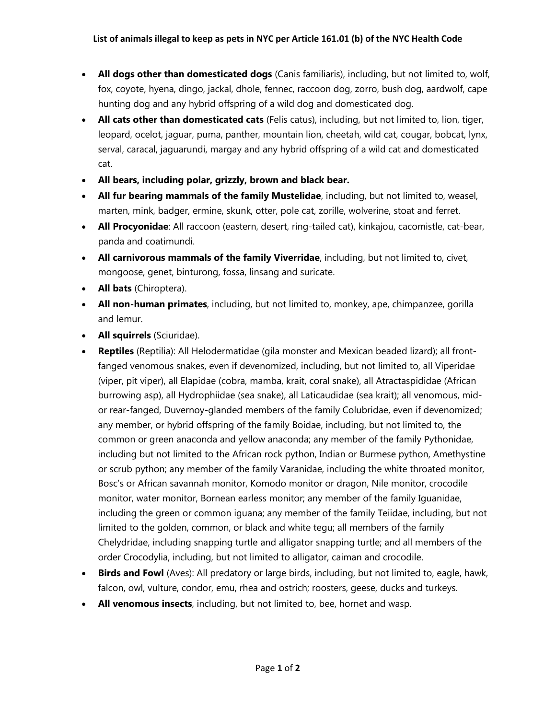- **All dogs other than domesticated dogs** (Canis familiaris), including, but not limited to, wolf, fox, coyote, hyena, dingo, jackal, dhole, fennec, raccoon dog, zorro, bush dog, aardwolf, cape hunting dog and any hybrid offspring of a wild dog and domesticated dog.
- **All cats other than domesticated cats** (Felis catus), including, but not limited to, lion, tiger, leopard, ocelot, jaguar, puma, panther, mountain lion, cheetah, wild cat, cougar, bobcat, lynx, serval, caracal, jaguarundi, margay and any hybrid offspring of a wild cat and domesticated cat.
- **All bears, including polar, grizzly, brown and black bear.**
- **All fur bearing mammals of the family Mustelidae**, including, but not limited to, weasel, marten, mink, badger, ermine, skunk, otter, pole cat, zorille, wolverine, stoat and ferret.
- **All Procyonidae**: All raccoon (eastern, desert, ring-tailed cat), kinkajou, cacomistle, cat-bear, panda and coatimundi.
- **All carnivorous mammals of the family Viverridae**, including, but not limited to, civet, mongoose, genet, binturong, fossa, linsang and suricate.
- **All bats** (Chiroptera).
- **All non-human primates**, including, but not limited to, monkey, ape, chimpanzee, gorilla and lemur.
- **All squirrels** (Sciuridae).
- **Reptiles** (Reptilia): All Helodermatidae (gila monster and Mexican beaded lizard); all frontfanged venomous snakes, even if devenomized, including, but not limited to, all Viperidae (viper, pit viper), all Elapidae (cobra, mamba, krait, coral snake), all Atractaspididae (African burrowing asp), all Hydrophiidae (sea snake), all Laticaudidae (sea krait); all venomous, midor rear-fanged, Duvernoy-glanded members of the family Colubridae, even if devenomized; any member, or hybrid offspring of the family Boidae, including, but not limited to, the common or green anaconda and yellow anaconda; any member of the family Pythonidae, including but not limited to the African rock python, Indian or Burmese python, Amethystine or scrub python; any member of the family Varanidae, including the white throated monitor, Bosc's or African savannah monitor, Komodo monitor or dragon, Nile monitor, crocodile monitor, water monitor, Bornean earless monitor; any member of the family Iguanidae, including the green or common iguana; any member of the family Teiidae, including, but not limited to the golden, common, or black and white tegu; all members of the family Chelydridae, including snapping turtle and alligator snapping turtle; and all members of the order Crocodylia, including, but not limited to alligator, caiman and crocodile.
- **Birds and Fowl** (Aves): All predatory or large birds, including, but not limited to, eagle, hawk, falcon, owl, vulture, condor, emu, rhea and ostrich; roosters, geese, ducks and turkeys.
- **All venomous insects**, including, but not limited to, bee, hornet and wasp.